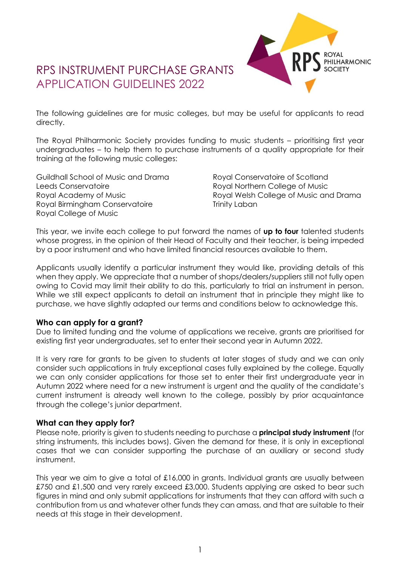# RPS INSTRUMENT PURCHASE GRANTS APPLICATION GUIDELINES 2022



The following guidelines are for music colleges, but may be useful for applicants to read directly.

The Royal Philharmonic Society provides funding to music students – prioritising first year undergraduates – to help them to purchase instruments of a quality appropriate for their training at the following music colleges:

Guildhall School of Music and Drama Leeds Conservatoire Royal Academy of Music Royal Birmingham Conservatoire Royal College of Music

Royal Conservatoire of Scotland Royal Northern College of Music Royal Welsh College of Music and Drama Trinity Laban

This year, we invite each college to put forward the names of **up to four** talented students whose progress, in the opinion of their Head of Faculty and their teacher, is being impeded by a poor instrument and who have limited financial resources available to them.

Applicants usually identify a particular instrument they would like, providing details of this when they apply. We appreciate that a number of shops/dealers/suppliers still not fully open owing to Covid may limit their ability to do this, particularly to trial an instrument in person. While we still expect applicants to detail an instrument that in principle they might like to purchase, we have slightly adapted our terms and conditions below to acknowledge this.

### **Who can apply for a grant?**

Due to limited funding and the volume of applications we receive, grants are prioritised for existing first year undergraduates, set to enter their second year in Autumn 2022.

It is very rare for grants to be given to students at later stages of study and we can only consider such applications in truly exceptional cases fully explained by the college. Equally we can only consider applications for those set to enter their first undergraduate year in Autumn 2022 where need for a new instrument is urgent and the quality of the candidate's current instrument is already well known to the college, possibly by prior acquaintance through the college's junior department.

### **What can they apply for?**

Please note, priority is given to students needing to purchase a **principal study instrument** (for string instruments, this includes bows). Given the demand for these, it is only in exceptional cases that we can consider supporting the purchase of an auxiliary or second study instrument.

This year we aim to give a total of £16,000 in grants. Individual grants are usually between £750 and £1,500 and very rarely exceed £3,000. Students applying are asked to bear such figures in mind and only submit applications for instruments that they can afford with such a contribution from us and whatever other funds they can amass, and that are suitable to their needs at this stage in their development.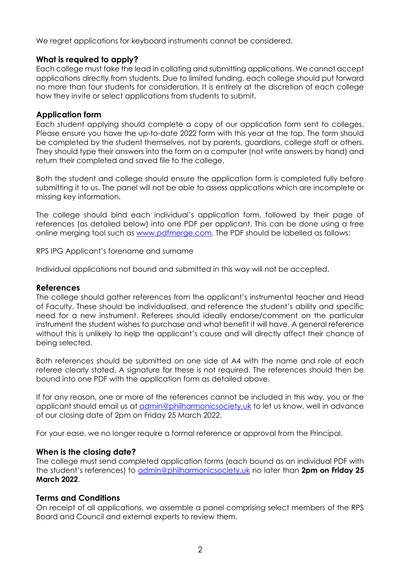We regret applications for keyboard instruments cannot be considered.

### **What is required to apply?**

Each college must take the lead in collating and submitting applications. We cannot accept applications directly from students. Due to limited funding, each college should put forward no more than four students for consideration. It is entirely at the discretion of each college how they invite or select applications from students to submit.

### **Application form**

Each student applying should complete a copy of our application form sent to colleges. Please ensure you have the up-to-date 2022 form with this year at the top. The form should be completed by the student themselves, not by parents, guardians, college staff or others. They should type their answers into the form on a computer (not write answers by hand) and return their completed and saved file to the college.

Both the student and college should ensure the application form is completed fully before submitting it to us. The panel will not be able to assess applications which are incomplete or missing key information.

The college should bind each individual's application form, followed by their page of references (as detailed below) into one PDF per applicant. This can be done using a free online merging tool such as [www.pdfmerge.com.](https://www.pdfmerge.com/) The PDF should be labelled as follows:

RPS IPG Applicant's forename and surname

Individual applications not bound and submitted in this way will not be accepted.

### **References**

The college should gather references from the applicant's instrumental teacher and Head of Faculty. These should be individualised, and reference the student's ability and specific need for a new instrument. Referees should ideally endorse/comment on the particular instrument the student wishes to purchase and what benefit it will have. A general reference without this is unlikely to help the applicant's cause and will directly affect their chance of being selected.

Both references should be submitted on one side of A4 with the name and role of each referee clearly stated. A signature for these is not required. The references should then be bound into one PDF with the application form as detailed above.

If for any reason, one or more of the references cannot be included in this way, you or the applicant should email us at *[admin@philharmonicsociety.uk](http://admin@philharmonicsociety.uk)* to let us know, well in advance of our closing date of 2pm on Friday 25 March 2022.

For your ease, we no longer require a formal reference or approval from the Principal.

### **When is the closing date?**

The college must send completed application forms (each bound as an individual PDF with the student's references) to [admin@philharmonicsociety.uk](http://admin@philharmonicsociety.uk) no later than **2pm on Friday 25 March 2022**.

### **Terms and Conditions**

On receipt of all applications, we assemble a panel comprising select members of the RPS Board and Council and external experts to review them.